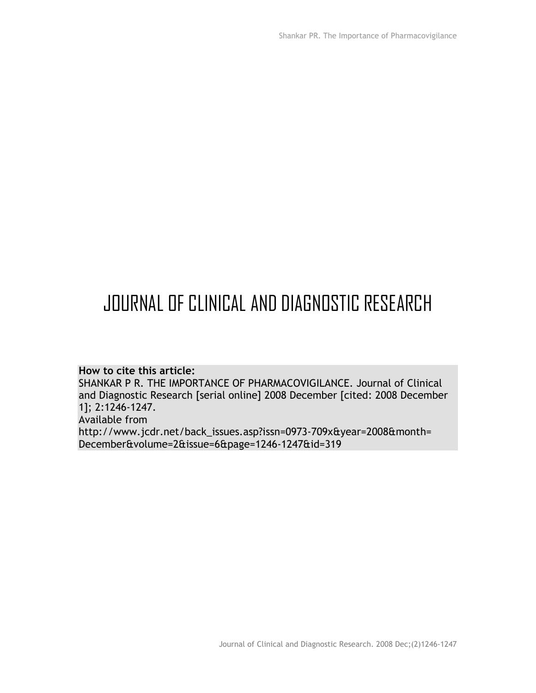# JOURNAL OF CLINICAL AND DIAGNOSTIC RESEARCH

## **How to cite this article:**

SHANKAR P R. THE IMPORTANCE OF PHARMACOVIGILANCE. Journal of Clinical and Diagnostic Research [serial online] 2008 December [cited: 2008 December 1]; 2:1246-1247. Available from http://www.jcdr.net/back\_issues.asp?issn=0973-709x&year=2008&month= December&volume=2&issue=6&page=1246-1247&id=319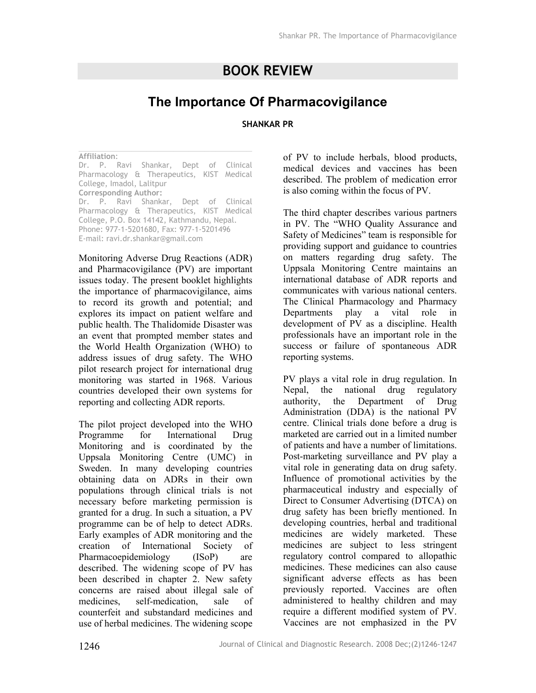# **BOOK REVIEW**

# **The Importance Of Pharmacovigilance**

#### **SHANKAR PR**

#### **Affiliation**:

Dr. P. Ravi Shankar, Dept of Clinical Pharmacology & Therapeutics, KIST Medical College, Imadol, Lalitpur **Corresponding Author:**  Dr. P. Ravi Shankar, Dept of Clinical Pharmacology & Therapeutics, KIST Medical College, P.O. Box 14142, Kathmandu, Nepal. Phone: 977-1-5201680, Fax: 977-1-5201496

E-mail: ravi.dr.shankar@gmail.com

Monitoring Adverse Drug Reactions (ADR) and Pharmacovigilance (PV) are important issues today. The present booklet highlights the importance of pharmacovigilance, aims to record its growth and potential; and explores its impact on patient welfare and public health. The Thalidomide Disaster was an event that prompted member states and the World Health Organization (WHO) to address issues of drug safety. The WHO pilot research project for international drug monitoring was started in 1968. Various countries developed their own systems for reporting and collecting ADR reports.

The pilot project developed into the WHO Programme for International Drug Monitoring and is coordinated by the Uppsala Monitoring Centre (UMC) in Sweden. In many developing countries obtaining data on ADRs in their own populations through clinical trials is not necessary before marketing permission is granted for a drug. In such a situation, a PV programme can be of help to detect ADRs. Early examples of ADR monitoring and the creation of International Society of Pharmacoepidemiology (ISoP) are described. The widening scope of PV has been described in chapter 2. New safety concerns are raised about illegal sale of medicines, self-medication, sale of counterfeit and substandard medicines and use of herbal medicines. The widening scope

of PV to include herbals, blood products, medical devices and vaccines has been described. The problem of medication error is also coming within the focus of PV.

The third chapter describes various partners in PV. The "WHO Quality Assurance and Safety of Medicines" team is responsible for providing support and guidance to countries on matters regarding drug safety. The Uppsala Monitoring Centre maintains an international database of ADR reports and communicates with various national centers. The Clinical Pharmacology and Pharmacy Departments play a vital role in development of PV as a discipline. Health professionals have an important role in the success or failure of spontaneous ADR reporting systems.

PV plays a vital role in drug regulation. In Nepal, the national drug regulatory authority, the Department of Drug Administration (DDA) is the national PV centre. Clinical trials done before a drug is marketed are carried out in a limited number of patients and have a number of limitations. Post-marketing surveillance and PV play a vital role in generating data on drug safety. Influence of promotional activities by the pharmaceutical industry and especially of Direct to Consumer Advertising (DTCA) on drug safety has been briefly mentioned. In developing countries, herbal and traditional medicines are widely marketed. These medicines are subject to less stringent regulatory control compared to allopathic medicines. These medicines can also cause significant adverse effects as has been previously reported. Vaccines are often administered to healthy children and may require a different modified system of PV. Vaccines are not emphasized in the PV